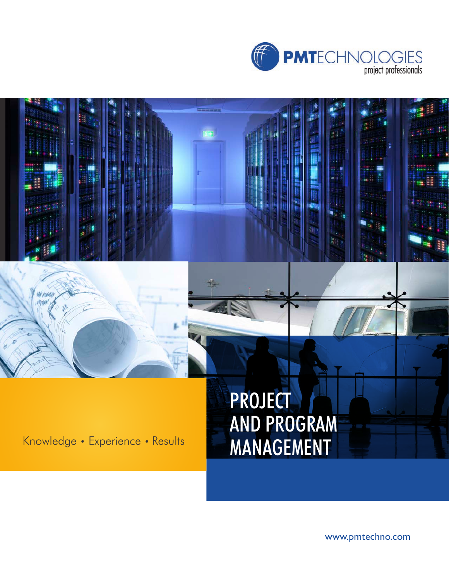

**The** 

**WY2602**<br>四加/x

# PROJECT AND PROGRAM Knowledge • Experience • Results MANAGEMENT

٣Ğ,

www.pmtechno.com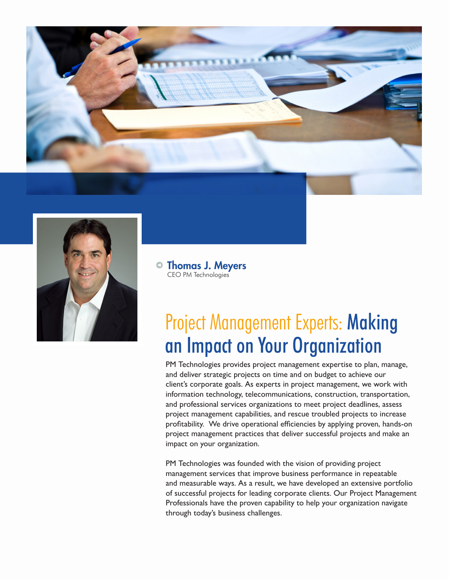



Thomas J. Meyers CEO PM Technologies

## Project Management Experts: Making an Impact on Your Organization

PM Technologies provides project management expertise to plan, manage, and deliver strategic projects on time and on budget to achieve our client's corporate goals. As experts in project management, we work with information technology, telecommunications, construction, transportation, and professional services organizations to meet project deadlines, assess project management capabilities, and rescue troubled projects to increase profitability. We drive operational efficiencies by applying proven, hands-on project management practices that deliver successful projects and make an impact on your organization.

PM Technologies was founded with the vision of providing project management services that improve business performance in repeatable and measurable ways. As a result, we have developed an extensive portfolio of successful projects for leading corporate clients. Our Project Management Professionals have the proven capability to help your organization navigate through today's business challenges.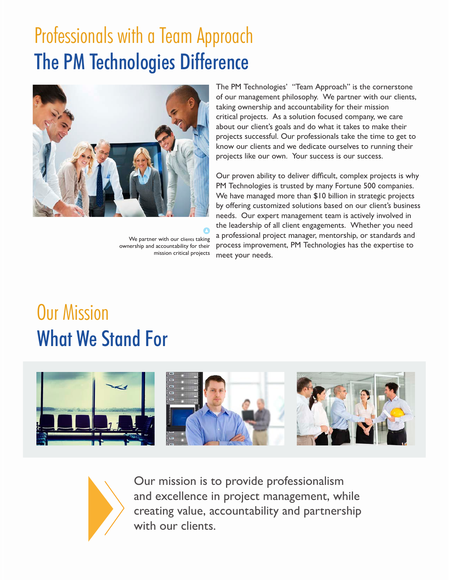# Professionals with a Team Approach The PM Technologies Difference



We partner with our clients taking ownership and accountability for their mission critical projects

The PM Technologies' "Team Approach" is the cornerstone of our management philosophy. We partner with our clients, taking ownership and accountability for their mission critical projects. As a solution focused company, we care about our client's goals and do what it takes to make their projects successful. Our professionals take the time to get to know our clients and we dedicate ourselves to running their projects like our own. Your success is our success.

Our proven ability to deliver difficult, complex projects is why PM Technologies is trusted by many Fortune 500 companies. We have managed more than \$10 billion in strategic projects by offering customized solutions based on our client's business needs. Our expert management team is actively involved in the leadership of all client engagements. Whether you need a professional project manager, mentorship, or standards and process improvement, PM Technologies has the expertise to meet your needs.

## Our Mission What We Stand For





Our mission is to provide professionalism and excellence in project management, while creating value, accountability and partnership with our clients.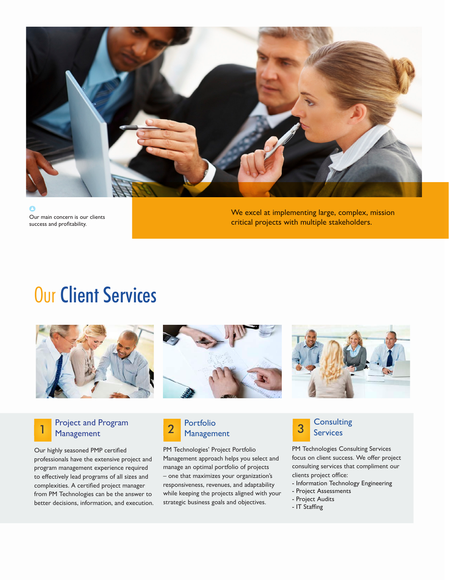

Our main concern is our clients success and profitability.

We excel at implementing large, complex, mission critical projects with multiple stakeholders.

#### **Our Client Services**



#### Project and Program<br>Management

Our highly seasoned PMP certified professionals have the extensive project and program management experience required to effectively lead programs of all sizes and complexities. A certified project manager from PM Technologies can be the answer to better decisions, information, and execution.



PM Technologies' Project Portfolio Management approach helps you select and manage an optimal portfolio of projects – one that maximizes your organization's responsiveness, revenues, and adaptability while keeping the projects aligned with your strategic business goals and objectives.





PM Technologies Consulting Services focus on client success. We offer project consulting services that compliment our clients project office:

- Information Technology Engineering
- Project Assessments
- Project Audits
- IT Staffing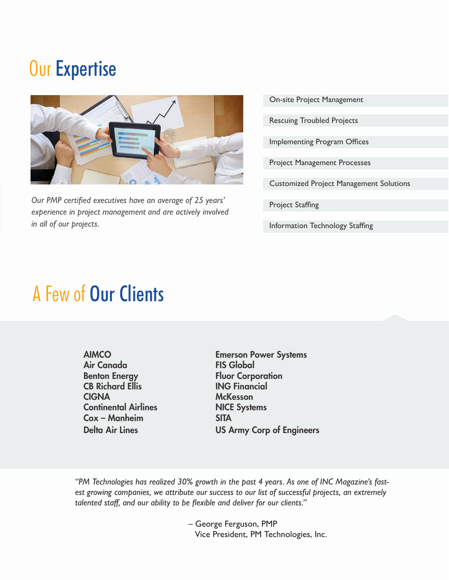### Our Expertise



*Our PMP certified executives have an average of 25 years' experience in project management and are actively involved in all of our projects.*

On-site Project Management

Rescuing Troubled Projects

Implementing Program Offices

Project Management Processes

Customized Project Management Solutions

Project Staffing

Information Technology Staffing

#### A Few of Our Clients

AIMCO Air Canada Benton Energy CB Richard Ellis **CIGNA** Continental Airlines Cox – Manheim Delta Air Lines

Emerson Power Systems FIS Global Fluor Corporation ING Financial **McKesson** NICE Systems SITA US Army Corp of Engineers

*"PM Technologies has realized 30% growth in the past 4 years. As one of INC Magazine's fastest growing companies, we attribute our success to our list of successful projects, an extremely talented staff, and our ability to be flexible and deliver for our clients."*

> – George Ferguson, PMP Vice President, PM Technologies, Inc.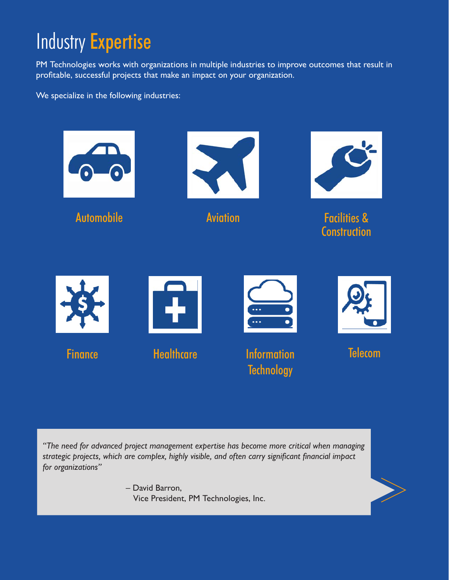# Industry Expertise

PM Technologies works with organizations in multiple industries to improve outcomes that result in profitable, successful projects that make an impact on your organization.

We specialize in the following industries:



*"The need for advanced project management expertise has become more critical when managing strategic projects, which are complex, highly visible, and often carry significant financial impact for organizations"* 

> – David Barron, Vice President, PM Technologies, Inc.